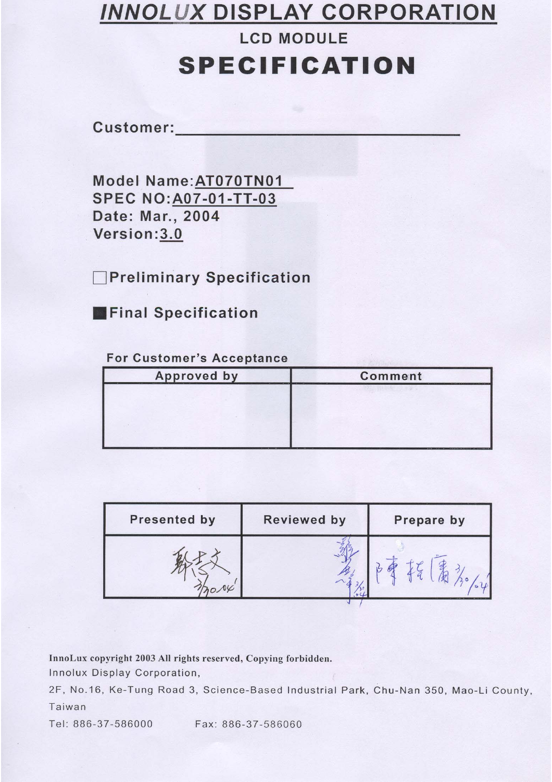# **INNOLUX DISPLAY CORPORATION**

# **SPECIFICATION**

**LCD MODULE** 

Customer:

Model Name: AT070TN01 **SPEC NO: A07-01-TT-03** Date: Mar., 2004 Version: 3.0

**Preliminary Specification** 

**Final Specification** 

#### **For Customer's Acceptance**

| <b>Approved by</b><br><b>THE R. P. LEWIS CO., LANSING, MICH.</b><br>_______ | <b>Comment</b><br>At Microsoft And A. Communications and<br>---- |  |  |  |
|-----------------------------------------------------------------------------|------------------------------------------------------------------|--|--|--|
|                                                                             | <b>AND IN AN INTERNATIONAL PROPERTY</b>                          |  |  |  |
|                                                                             |                                                                  |  |  |  |
|                                                                             |                                                                  |  |  |  |
| 8811228<br>$-$<br>____<br>_______                                           | positional in communications of states and                       |  |  |  |

| <b>Presented by</b> | <b>Reviewed by</b> | Prepare by |
|---------------------|--------------------|------------|
|                     |                    |            |

InnoLux copyright 2003 All rights reserved, Copying forbidden.

Innolux Display Corporation,

2F, No.16, Ke-Tung Road 3, Science-Based Industrial Park, Chu-Nan 350, Mao-Li County, Taiwan

Tel: 886-37-586000

Fax: 886-37-586060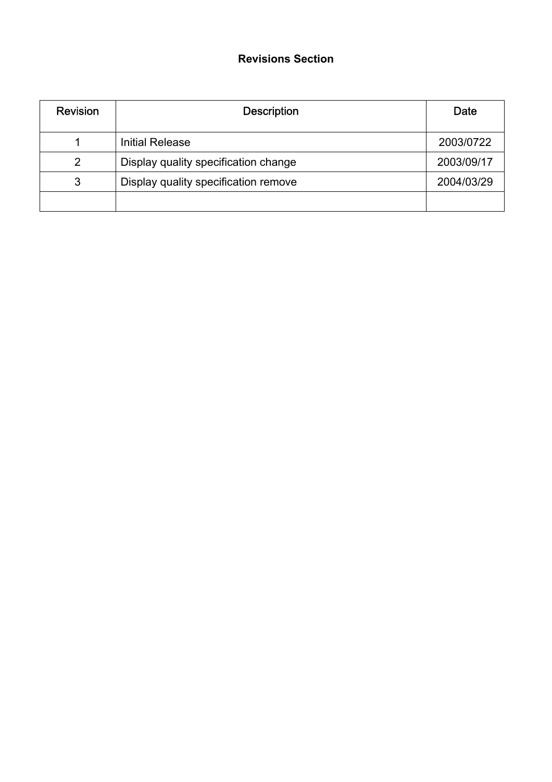# **Revisions Section**

| <b>Revision</b> | <b>Description</b>                   | Date       |
|-----------------|--------------------------------------|------------|
|                 | <b>Initial Release</b>               | 2003/0722  |
| 2               | Display quality specification change | 2003/09/17 |
| 3               | Display quality specification remove | 2004/03/29 |
|                 |                                      |            |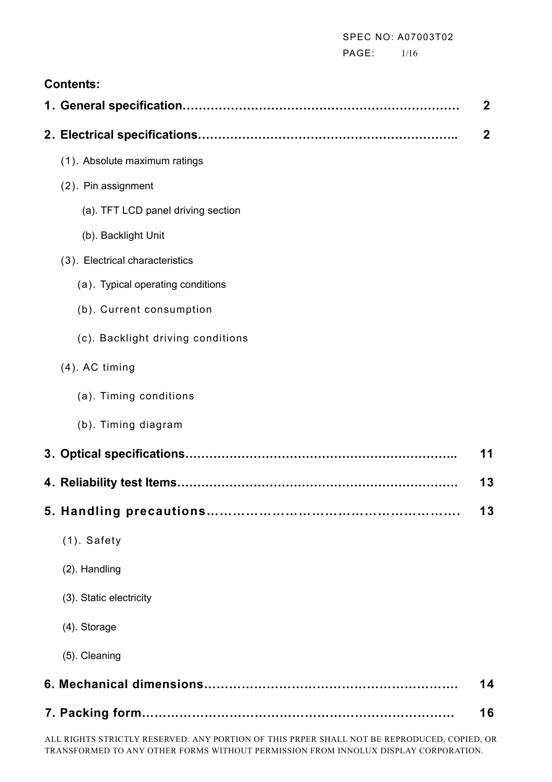PAGE: 1/16

# **Contents:**

|                                    | $\boldsymbol{2}$ |
|------------------------------------|------------------|
|                                    | $\mathbf{2}$     |
| (1). Absolute maximum ratings      |                  |
| (2). Pin assignment                |                  |
| (a). TFT LCD panel driving section |                  |
| (b). Backlight Unit                |                  |
| (3). Electrical characteristics    |                  |
| (a). Typical operating conditions  |                  |
| (b). Current consumption           |                  |
| (c). Backlight driving conditions  |                  |
| $(4)$ . AC timing                  |                  |
| (a). Timing conditions             |                  |
| (b). Timing diagram                |                  |
|                                    | 11               |
|                                    | 13               |
|                                    | 13               |
| $(1)$ . Safety                     |                  |
| (2). Handling                      |                  |
| (3). Static electricity            |                  |
| (4). Storage                       |                  |
| (5). Cleaning                      |                  |
|                                    | 14               |
|                                    | 16               |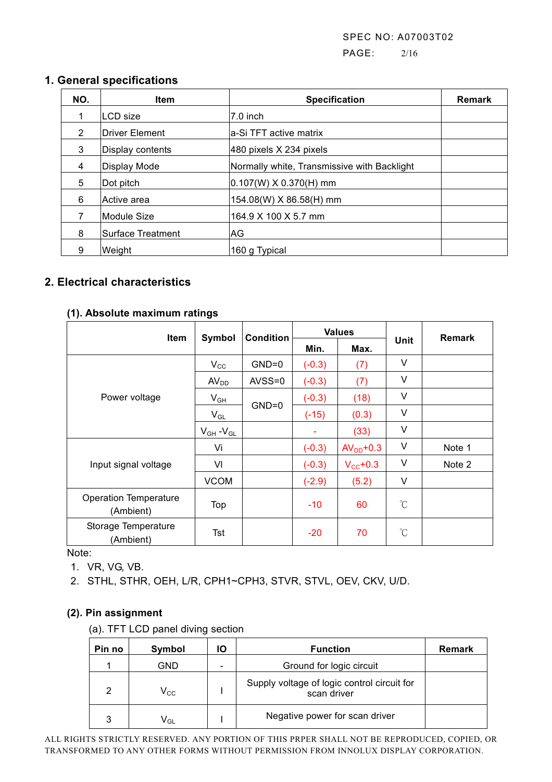PAGE: 2/16

### **1. General specifications**

| NO. | <b>Item</b>       | <b>Specification</b>                        |  |  |
|-----|-------------------|---------------------------------------------|--|--|
| 1   | LCD size          | l7.0 inch                                   |  |  |
| 2   | Driver Element    | la-Si TFT active matrix                     |  |  |
| 3   | Display contents  | 480 pixels X 234 pixels                     |  |  |
| 4   | Display Mode      | Normally white, Transmissive with Backlight |  |  |
| 5   | Dot pitch         | $ 0.107(W) \times 0.370(H)$ mm              |  |  |
| 6   | lActive area      | 154.08(W) X 86.58(H) mm                     |  |  |
|     | Module Size       | 164.9 X 100 X 5.7 mm                        |  |  |
| 8   | Surface Treatment | AG.                                         |  |  |
| 9   | Weight            | 160 g Typical                               |  |  |

# **2. Electrical characteristics**

#### **(1). Absolute maximum ratings**

| ltem                                      | Symbol            | <b>Condition</b> | <b>Values</b> |                   |             | <b>Remark</b> |
|-------------------------------------------|-------------------|------------------|---------------|-------------------|-------------|---------------|
|                                           |                   |                  | Min.          | Max.              | Unit        |               |
|                                           | $V_{\rm CC}$      | $GND=0$          | $(-0.3)$      | (7)               | V           |               |
|                                           | AV <sub>DD</sub>  | $AVSS=0$         | $(-0.3)$      | (7)               | V           |               |
| Power voltage                             | $V_{GH}$          |                  | $(-0.3)$      | (18)              | V           |               |
|                                           | $V_{GL}$          | $GND=0$          | $(-15)$       | (0.3)             | V           |               |
|                                           | $V_{GH} - V_{GL}$ |                  | ۰             | (33)              | V           |               |
|                                           | Vi                |                  | $(-0.3)$      | $AVDD+0.3$        | V           | Note 1        |
| Input signal voltage                      | VI                |                  | $(-0.3)$      | $V_{\rm CC}$ +0.3 | v           | Note 2        |
|                                           | <b>VCOM</b>       |                  | $(-2.9)$      | (5.2)             | V           |               |
| <b>Operation Temperature</b><br>(Ambient) | Top               |                  | $-10$         | 60                | $^{\circ}C$ |               |
| Storage Temperature<br>(Ambient)          | Tst               |                  | $-20$         | 70                | $^{\circ}C$ |               |

Note:

1. VR, VG, VB.

2. STHL, STHR, OEH, L/R, CPH1~CPH3, STVR, STVL, OEV, CKV, U/D.

#### **(2). Pin assignment**

(a). TFT LCD panel diving section

| Pin no | Symbol                     | ΙO | <b>Function</b>                                            | <b>Remark</b> |
|--------|----------------------------|----|------------------------------------------------------------|---------------|
|        | GND                        |    | Ground for logic circuit                                   |               |
| 2      | $V_{CC}$                   |    | Supply voltage of logic control circuit for<br>scan driver |               |
| 3      | $\mathsf{V}_{\mathsf{GL}}$ |    | Negative power for scan driver                             |               |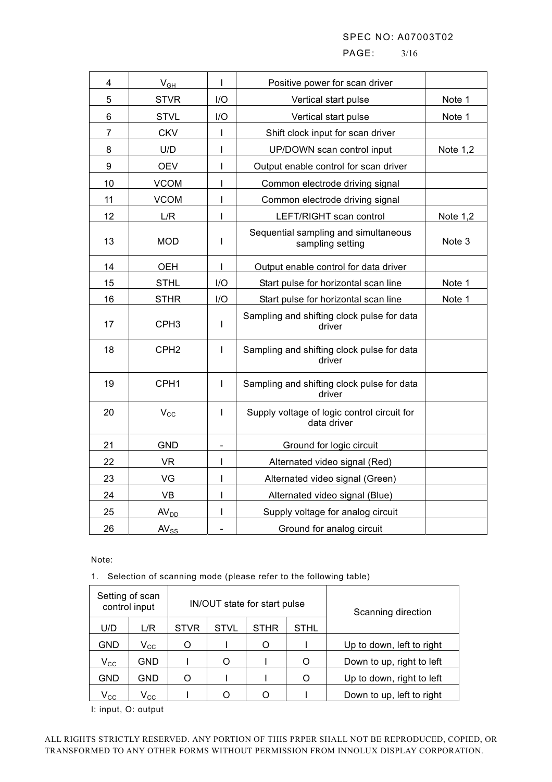PAGE: 3/16

|                |                  | T            |                                                            |                 |
|----------------|------------------|--------------|------------------------------------------------------------|-----------------|
| 4              | $V_{GH}$         |              | Positive power for scan driver                             |                 |
| 5              | <b>STVR</b>      | I/O          | Vertical start pulse                                       | Note 1          |
| 6              | <b>STVL</b>      | I/O          | Vertical start pulse                                       | Note 1          |
| $\overline{7}$ | <b>CKV</b>       | $\mathsf{I}$ | Shift clock input for scan driver                          |                 |
| 8              | U/D              | I            | UP/DOWN scan control input                                 | <b>Note 1,2</b> |
| 9              | <b>OEV</b>       | I            | Output enable control for scan driver                      |                 |
| 10             | <b>VCOM</b>      | T            | Common electrode driving signal                            |                 |
| 11             | <b>VCOM</b>      | T            | Common electrode driving signal                            |                 |
| 12             | L/R              | I            | LEFT/RIGHT scan control                                    | Note $1,2$      |
| 13             | <b>MOD</b>       | $\mathbf{I}$ | Sequential sampling and simultaneous<br>sampling setting   | Note 3          |
| 14             | <b>OEH</b>       | $\mathbf{I}$ | Output enable control for data driver                      |                 |
| 15             | <b>STHL</b>      | I/O          | Start pulse for horizontal scan line                       | Note 1          |
| 16             | <b>STHR</b>      | I/O          | Start pulse for horizontal scan line                       | Note 1          |
| 17             | CPH <sub>3</sub> | T            | Sampling and shifting clock pulse for data<br>driver       |                 |
| 18             | CPH <sub>2</sub> | Т            | Sampling and shifting clock pulse for data<br>driver       |                 |
| 19             | CPH <sub>1</sub> | Т            | Sampling and shifting clock pulse for data<br>driver       |                 |
| 20             | $V_{\rm CC}$     | Т            | Supply voltage of logic control circuit for<br>data driver |                 |
| 21             | <b>GND</b>       | -            | Ground for logic circuit                                   |                 |
| 22             | <b>VR</b>        | I            | Alternated video signal (Red)                              |                 |
| 23             | VG               | T            | Alternated video signal (Green)                            |                 |
| 24             | <b>VB</b>        | T            | Alternated video signal (Blue)                             |                 |
| 25             | AV <sub>DD</sub> | I            | Supply voltage for analog circuit                          |                 |
| 26             | $AV_{SS}$        |              | Ground for analog circuit                                  |                 |

Note:

1. Selection of scanning mode (please refer to the following table)

| Setting of scan<br>control input |                            |             |             | IN/OUT state for start pulse | Scanning direction |                           |  |  |
|----------------------------------|----------------------------|-------------|-------------|------------------------------|--------------------|---------------------------|--|--|
| U/D                              | L/R                        | <b>STVR</b> | <b>STVL</b> | STHR                         | <b>STHL</b>        |                           |  |  |
| GND                              | $\rm V_{\rm CC}$           | Ω           |             | Ω                            |                    | Up to down, left to right |  |  |
| $\mathsf{V}_{\mathsf{CC}}$       | GND                        |             | Ω           |                              | Ω                  | Down to up, right to left |  |  |
| GND                              | GND                        | Ω           |             |                              | Ω                  | Up to down, right to left |  |  |
| $\mathsf{V}_{\mathsf{CC}}$       | $\mathsf{V}_{\mathsf{CC}}$ |             |             |                              |                    | Down to up, left to right |  |  |

I: input, O: output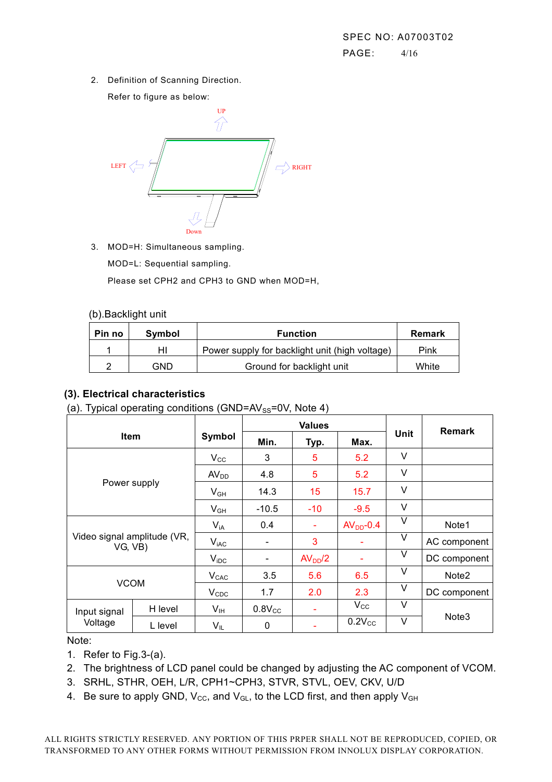2. Definition of Scanning Direction.

Refer to figure as below:



3. MOD=H: Simultaneous sampling.

MOD=L: Sequential sampling.

Please set CPH2 and CPH3 to GND when MOD=H,

#### (b).Backlight unit

| Pin no | Symbol | <b>Function</b>                                |       |
|--------|--------|------------------------------------------------|-------|
|        | нι     | Power supply for backlight unit (high voltage) | Pink  |
|        | GND    | Ground for backlight unit                      | White |

# **(3). Electrical characteristics**

(a). Typical operating conditions (GND= $AV_{SS}=0V$ , Note 4)

| <b>Item</b>                            |         |                  |                          | <b>Values</b>       |              | <b>Remark</b> |                   |
|----------------------------------------|---------|------------------|--------------------------|---------------------|--------------|---------------|-------------------|
|                                        |         | Symbol           | Min.                     | Typ.                | Max.         | Unit          |                   |
|                                        |         | $V_{\rm CC}$     | 3                        | 5                   | 5.2          | V             |                   |
|                                        |         | AV <sub>DD</sub> | 4.8                      | 5                   | 5.2          | V             |                   |
| Power supply                           |         | $V_{GH}$         | 14.3                     | 15                  | 15.7         | V             |                   |
|                                        |         | $V_{GH}$         | $-10.5$                  | $-10$               | $-9.5$       | V             |                   |
|                                        |         | $V_{iA}$         | 0.4                      | ۰                   | $AVDD-0.4$   | v             | Note1             |
| Video signal amplitude (VR,<br>VG, VB) |         | $V_{iAC}$        |                          | 3                   |              | V             | AC component      |
|                                        |         | $V_{\text{IDC}}$ | $\overline{\phantom{a}}$ | AV <sub>DD</sub> /2 |              | V             | DC component      |
| <b>VCOM</b>                            |         | $V_{CAC}$        | 3.5                      | 5.6                 | 6.5          | V             | Note <sub>2</sub> |
|                                        |         | $V_{CDC}$        | 1.7                      | 2.0                 | 2.3          | V             | DC component      |
| Input signal                           | H level | $V_{\text{IH}}$  | $0.8V_{CC}$              | ۰                   | $V_{\rm CC}$ | V             |                   |
| Voltage                                | L level | VIL              | 0                        | ۰                   | $0.2V_{CC}$  | V             | Note <sub>3</sub> |

Note:

1. Refer to Fig.3-(a).

- 2. The brightness of LCD panel could be changed by adjusting the AC component of VCOM.
- 3. SRHL, STHR, OEH, L/R, CPH1~CPH3, STVR, STVL, OEV, CKV, U/D
- 4. Be sure to apply GND,  $V_{\text{CC}}$ , and  $V_{\text{GL}}$ , to the LCD first, and then apply  $V_{\text{GH}}$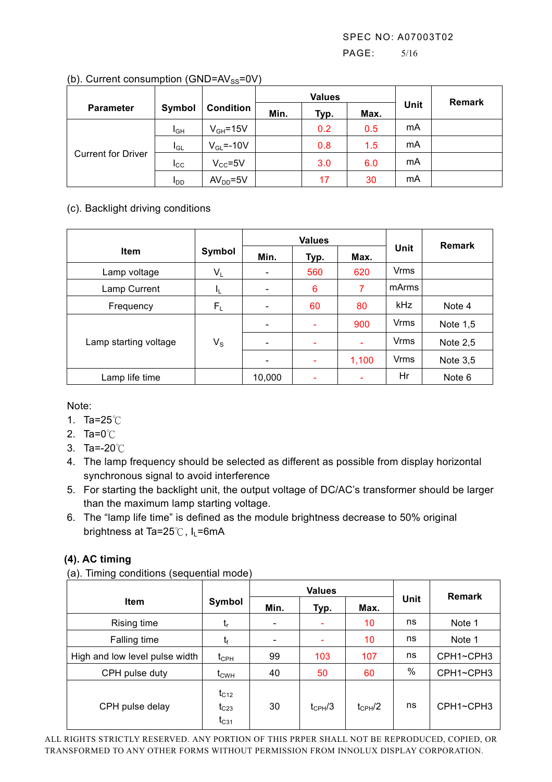#### PAGE: 5/16

|                           |                 |                  |      | <b>Values</b> |      | <b>Remark</b> |  |
|---------------------------|-----------------|------------------|------|---------------|------|---------------|--|
| <b>Parameter</b>          | Symbol          | <b>Condition</b> | Min. | Typ.          | Max. | Unit          |  |
|                           | I <sub>GH</sub> | $V_{GH} = 15V$   |      | 0.2           | 0.5  | mA            |  |
| <b>Current for Driver</b> | $I_{GL}$        | $V_{GL} = -10V$  |      | 0.8           | 1.5  | mA            |  |
|                           | $_{\rm{lcc}}$   | $V_{CC} = 5V$    |      | 3.0           | 6.0  | mA            |  |
|                           | <b>I</b> DD     | $AVDD=5V$        |      | 17            | 30   | mA            |  |

#### (b). Current consumption (GND= $AV_{SS}=0V$ )

### (c). Backlight driving conditions

|                       |             |                          | <b>Values</b>            |       | <b>Remark</b> |            |
|-----------------------|-------------|--------------------------|--------------------------|-------|---------------|------------|
| <b>Item</b>           | Symbol      | Min.                     | Typ.                     | Max.  | Unit          |            |
| Lamp voltage          | $V_L$       | $\overline{\phantom{a}}$ | 560                      | 620   | <b>Vrms</b>   |            |
| Lamp Current          | IL.         | $\overline{\phantom{0}}$ | 6                        | 7     | mArms         |            |
| Frequency             | $F_L$       | $\overline{\phantom{a}}$ | 60                       | 80    | <b>kHz</b>    | Note 4     |
|                       |             |                          | $\overline{\phantom{a}}$ | 900   | Vrms          | Note 1,5   |
| Lamp starting voltage | $V_{\rm S}$ | $\qquad \qquad$          | $\overline{\phantom{0}}$ |       | <b>Vrms</b>   | Note $2,5$ |
|                       |             |                          | ۰                        | 1,100 | <b>Vrms</b>   | Note $3,5$ |
| Lamp life time        |             | 10,000                   |                          |       | Hr            | Note 6     |

Note:

- 1. Ta=25℃
- 2. Ta=0℃
- 3. Ta=-20℃
- 4. The lamp frequency should be selected as different as possible from display horizontal synchronous signal to avoid interference
- 5. For starting the backlight unit, the output voltage of DC/AC's transformer should be larger than the maximum lamp starting voltage.
- 6. The "lamp life time" is defined as the module brightness decrease to 50% original brightness at Ta=25 $°C$ , I<sub>L</sub>=6mA

### **(4). AC timing**

|  |  |  | (a). Timing conditions (sequential mode) |  |
|--|--|--|------------------------------------------|--|
|--|--|--|------------------------------------------|--|

| $\cdots$<br>$\mathbf{v}$       |                                     |      | <b>Values</b>      |             | <b>Remark</b> |           |
|--------------------------------|-------------------------------------|------|--------------------|-------------|---------------|-----------|
| <b>Item</b>                    | Symbol                              | Min. | Typ.               | Max.        | Unit          |           |
| Rising time                    | t,                                  |      |                    | 10          | ns            | Note 1    |
| Falling time                   | t <sub>f</sub>                      |      |                    | 10          | ns            | Note 1    |
| High and low level pulse width | $t_{\rm CPH}$                       | 99   | 103                | 107         | ns            | CPH1~CPH3 |
| CPH pulse duty                 | $t_{\text{CWH}}$                    | 40   | 50                 | 60          | $\%$          | CPH1~CPH3 |
| CPH pulse delay                | $t_{C12}$<br>$t_{C23}$<br>$t_{C31}$ | 30   | $t_{\text{CPH}}/3$ | $t_{CPH}/2$ | ns            | CPH1~CPH3 |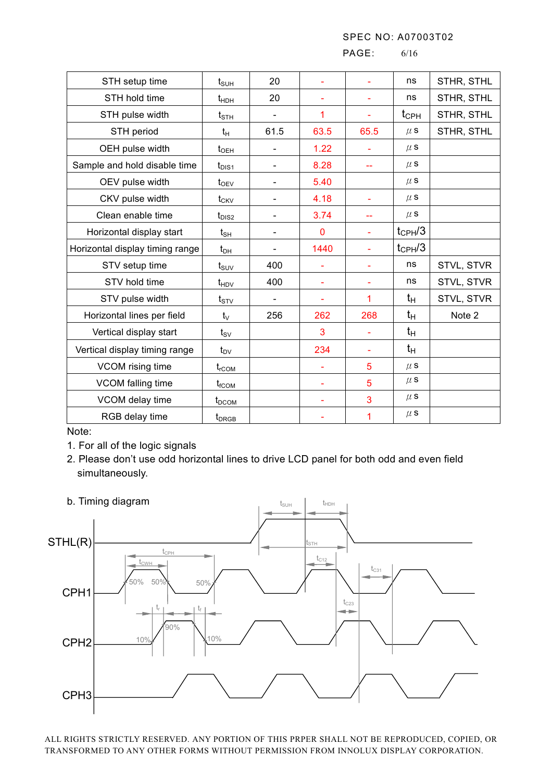PAGE: 6/16

| $t_{\scriptscriptstyle\text{SUH}}$ | 20                           |             |      | ns            | STHR, STHL |
|------------------------------------|------------------------------|-------------|------|---------------|------------|
| $t_{\text{HDH}}$                   | 20                           |             |      | ns            | STHR, STHL |
| $t_{\text{STH}}$                   |                              | 1           |      | $t_{\rm CPH}$ | STHR, STHL |
| $t_{H}$                            | 61.5                         | 63.5        | 65.5 | $\mu$ S       | STHR, STHL |
| $t_{\text{OEH}}$                   |                              | 1.22        |      | $\mu$ S       |            |
| $t_{\text{DIS1}}$                  | $\blacksquare$               | 8.28        | $-$  | $\mu$ S       |            |
| $t_{\rm OEV}$                      |                              | 5.40        |      | $\mu$ S       |            |
| $t_{CKV}$                          |                              | 4.18        | ÷    | $\mu$ s       |            |
| $t_{DIS2}$                         |                              | 3.74        |      | $\mu$ S       |            |
| $t_{\sf SH}$                       | $\qquad \qquad \blacksquare$ | $\mathbf 0$ |      | $t_{CPH}/3$   |            |
| $t_{DH}$                           |                              | 1440        |      | $t_{CPH}/3$   |            |
| $t_{\scriptstyle\text{SUV}}$       | 400                          |             |      | ns            | STVL, STVR |
| $t_{HDV}$                          | 400                          |             |      | ns            | STVL, STVR |
| $t_{STV}$                          |                              |             | 1    | $t_{H}$       | STVL, STVR |
| $t_{\vee}$                         | 256                          | 262         | 268  | $t_{H}$       | Note 2     |
| $t_{\scriptscriptstyle\text{SV}}$  |                              | 3           |      | $t_{H}$       |            |
| $t_{\text{DV}}$                    |                              | 234         |      | $t_{H}$       |            |
| $t_{rCOM}$                         |                              |             | 5    | $\mu$ S       |            |
| $t_{fCOM}$                         |                              |             | 5    | $\mu$ S       |            |
| $t_{DCOM}$                         |                              |             | 3    | $\mu$ S       |            |
| $t_{DRGB}$                         |                              |             | 1    | $\mu$ S       |            |
|                                    |                              |             |      |               |            |

Note:

1. For all of the logic signals

2. Please don't use odd horizontal lines to drive LCD panel for both odd and even field simultaneously.

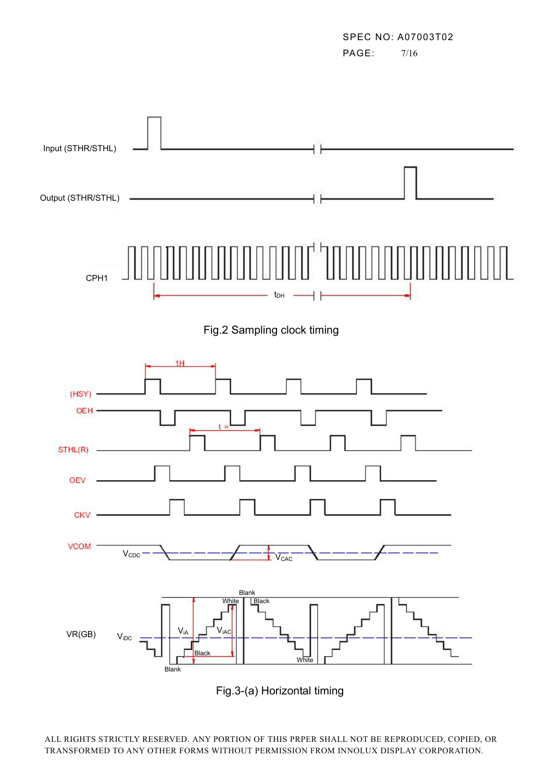SPEC NO: A07003T02 PAGE: 7/16

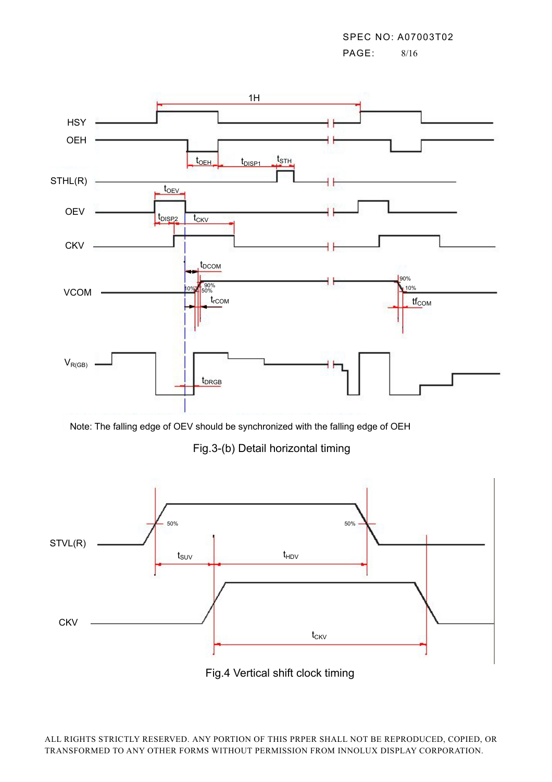PAGE: 8/16



Note: The falling edge of OEV should be synchronized with the falling edge of OEH

Fig.3-(b) Detail horizontal timing



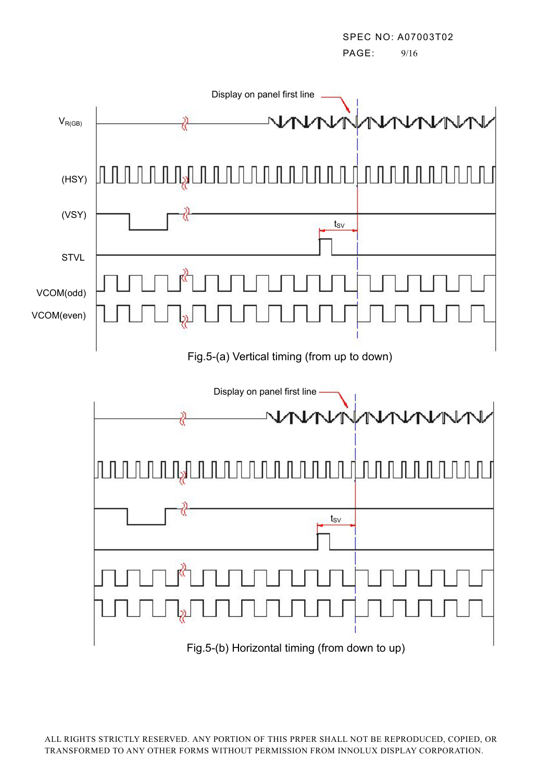SPEC NO: A07003T02 PAGE: 9/16

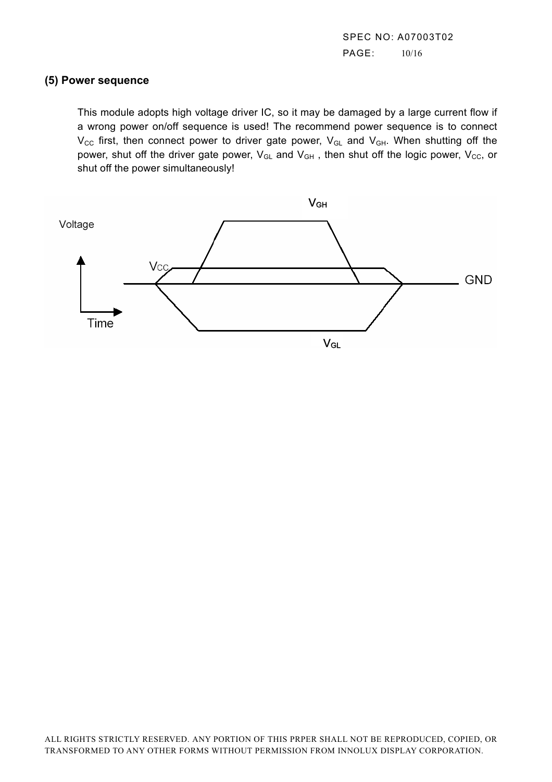SPEC NO: A07003T02 PAGE: 10/16

#### **(5) Power sequence**

This module adopts high voltage driver IC, so it may be damaged by a large current flow if a wrong power on/off sequence is used! The recommend power sequence is to connect  $V_{\text{CC}}$  first, then connect power to driver gate power,  $V_{\text{GL}}$  and  $V_{\text{GH}}$ . When shutting off the power, shut off the driver gate power,  $V_{GL}$  and  $V_{GH}$ , then shut off the logic power,  $V_{CC}$ , or shut off the power simultaneously!

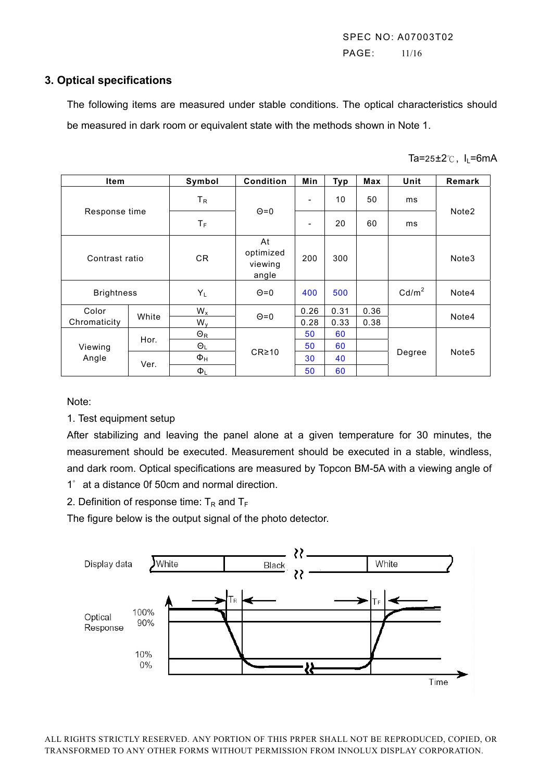SPEC NO: A07003T02 PAGE: 11/16

#### **3. Optical specifications**

 The following items are measured under stable conditions. The optical characteristics should be measured in dark room or equivalent state with the methods shown in Note 1.

| <b>Item</b>       |       | Symbol                | <b>Condition</b>                    | Min                      | <b>Typ</b> | <b>Max</b> | Unit              | Remark            |
|-------------------|-------|-----------------------|-------------------------------------|--------------------------|------------|------------|-------------------|-------------------|
|                   |       | $T_R$                 |                                     | $\overline{\phantom{a}}$ | 10         | 50         | ms                |                   |
| Response time     |       | $T_F$                 | $\Theta$ =0                         | $\overline{\phantom{a}}$ | 20         | 60         | ms                | Note <sub>2</sub> |
| Contrast ratio    |       | <b>CR</b>             | At<br>optimized<br>viewing<br>angle | 200                      | 300        |            |                   | Note3             |
| <b>Brightness</b> |       | $Y_L$                 | $\Theta$ =0                         | 400                      | 500        |            | Cd/m <sup>2</sup> | Note4             |
| Color             | White | $W_{x}$               | $\Theta$ =0                         | 0.26                     | 0.31       | 0.36       |                   | Note4             |
| Chromaticity      |       | $W_{v}$               |                                     | 0.28                     | 0.33       | 0.38       |                   |                   |
|                   | Hor.  | $\Theta_{\mathsf{R}}$ | $CR \ge 10$                         | 50                       | 60         |            |                   |                   |
| Viewing           |       | $\Theta_L$            |                                     | 50                       | 60         |            | Degree            | Note <sub>5</sub> |
| Angle             | Ver.  | $\Phi_H$              |                                     | 30                       | 40         |            |                   |                   |
|                   |       | $\Phi_L$              |                                     | 50                       | 60         |            |                   |                   |

Note:

1. Test equipment setup

After stabilizing and leaving the panel alone at a given temperature for 30 minutes, the measurement should be executed. Measurement should be executed in a stable, windless, and dark room. Optical specifications are measured by Topcon BM-5A with a viewing angle of 1゜at a distance 0f 50cm and normal direction.

2. Definition of response time:  $T_R$  and  $T_F$ 

The figure below is the output signal of the photo detector.

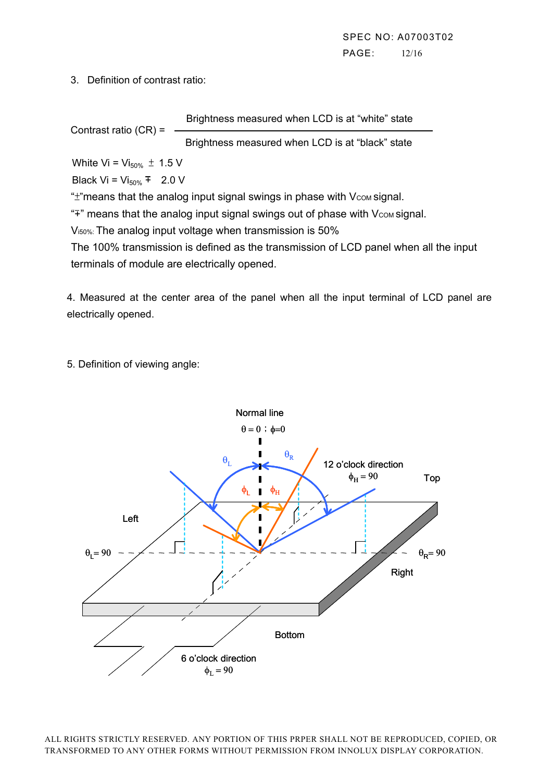3. Definition of contrast ratio:

Brightness measured when LCD is at "white" state

Contrast ratio (CR) =

Brightness measured when LCD is at "black" state

White Vi =  $Vi_{50\%} \pm 1.5$  V

Black Vi =  $Vi_{50\%}$  + 2.0 V

" $\pm$ "means that the analog input signal swings in phase with  $V_{COM}$  signal.

"<sup>+"</sup> means that the analog input signal swings out of phase with V<sub>com</sub> signal.

V<sub>150%</sub>: The analog input voltage when transmission is 50%

The 100% transmission is defined as the transmission of LCD panel when all the input terminals of module are electrically opened.

4. Measured at the center area of the panel when all the input terminal of LCD panel are electrically opened.

5. Definition of viewing angle:

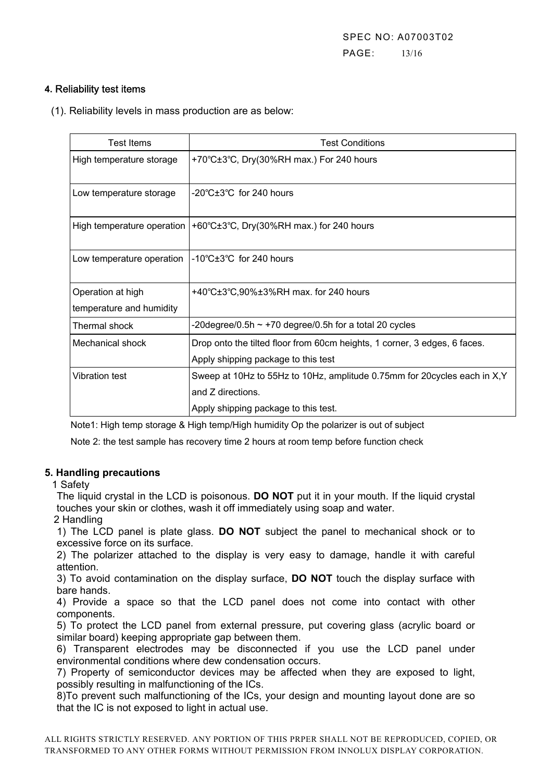SPEC NO: A07003T02 PAGE: 13/16

#### **4.** Reliability test items

(1). Reliability levels in mass production are as below:

| Test Items                 | <b>Test Conditions</b>                                                     |
|----------------------------|----------------------------------------------------------------------------|
| High temperature storage   | +70°C±3°C, Dry(30%RH max.) For 240 hours                                   |
| Low temperature storage    | $-20^{\circ}$ C $\pm 3^{\circ}$ C for 240 hours                            |
| High temperature operation | +60°C±3°C, Dry(30%RH max.) for 240 hours                                   |
| Low temperature operation  | $-10^{\circ}$ C $\pm 3^{\circ}$ C for 240 hours                            |
| Operation at high          | +40°C±3°C,90%±3%RH max. for 240 hours                                      |
| temperature and humidity   |                                                                            |
| Thermal shock              | -20degree/0.5h $\sim$ +70 degree/0.5h for a total 20 cycles                |
| Mechanical shock           | Drop onto the tilted floor from 60cm heights, 1 corner, 3 edges, 6 faces.  |
|                            | Apply shipping package to this test                                        |
| Vibration test             | Sweep at 10Hz to 55Hz to 10Hz, amplitude 0.75mm for 20 cycles each in X, Y |
|                            | and Z directions.                                                          |
|                            | Apply shipping package to this test.                                       |

Note1: High temp storage & High temp/High humidity Op the polarizer is out of subject

Note 2: the test sample has recovery time 2 hours at room temp before function check

#### **5. Handling precautions**

1 Safety

The liquid crystal in the LCD is poisonous. **DO NOT** put it in your mouth. If the liquid crystal touches your skin or clothes, wash it off immediately using soap and water.

2 Handling

1) The LCD panel is plate glass. **DO NOT** subject the panel to mechanical shock or to excessive force on its surface.

2) The polarizer attached to the display is very easy to damage, handle it with careful attention.

3) To avoid contamination on the display surface, **DO NOT** touch the display surface with bare hands.

4) Provide a space so that the LCD panel does not come into contact with other components.

5) To protect the LCD panel from external pressure, put covering glass (acrylic board or similar board) keeping appropriate gap between them.

6) Transparent electrodes may be disconnected if you use the LCD panel under environmental conditions where dew condensation occurs.

7) Property of semiconductor devices may be affected when they are exposed to light, possibly resulting in malfunctioning of the ICs.

8)To prevent such malfunctioning of the ICs, your design and mounting layout done are so that the IC is not exposed to light in actual use.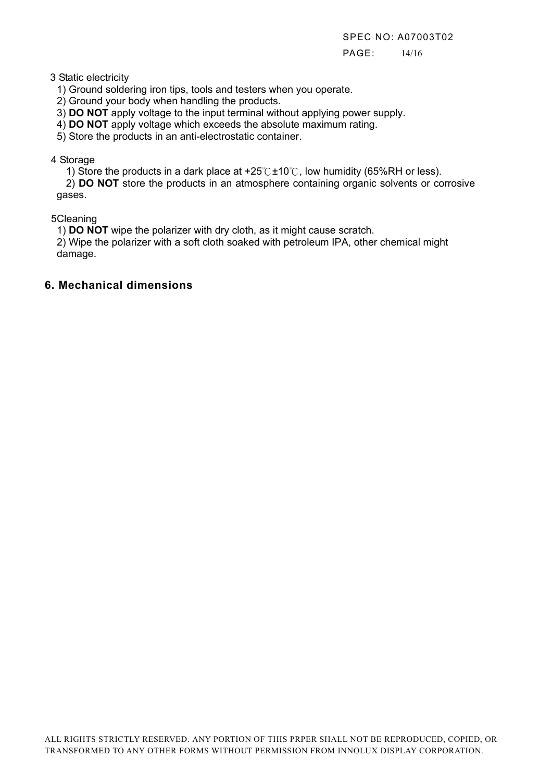PAGE: 14/16

3 Static electricity

1) Ground soldering iron tips, tools and testers when you operate.

2) Ground your body when handling the products.

3) **DO NOT** apply voltage to the input terminal without applying power supply.

4) **DO NOT** apply voltage which exceeds the absolute maximum rating.

5) Store the products in an anti-electrostatic container.

#### 4 Storage

1) Store the products in a dark place at +25  $C \pm 10^{\circ}$  low humidity (65%RH or less).

 2) **DO NOT** store the products in an atmosphere containing organic solvents or corrosive gases.

5Cleaning

1) **DO NOT** wipe the polarizer with dry cloth, as it might cause scratch.

2) Wipe the polarizer with a soft cloth soaked with petroleum IPA, other chemical might damage.

# **6. Mechanical dimensions**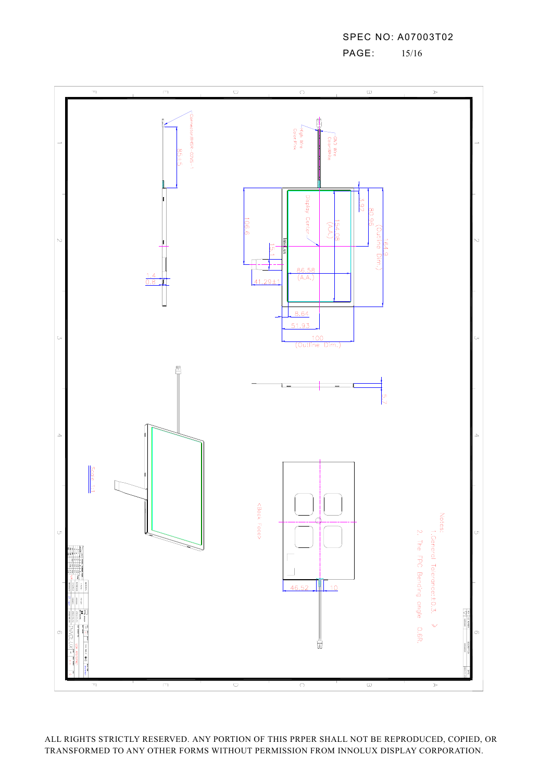

ALL RIGHTS STRICTLY RESERVED. ANY PORTION OF THIS PRPER SHALL NOT BE REPRODUCED, COPIED, OR